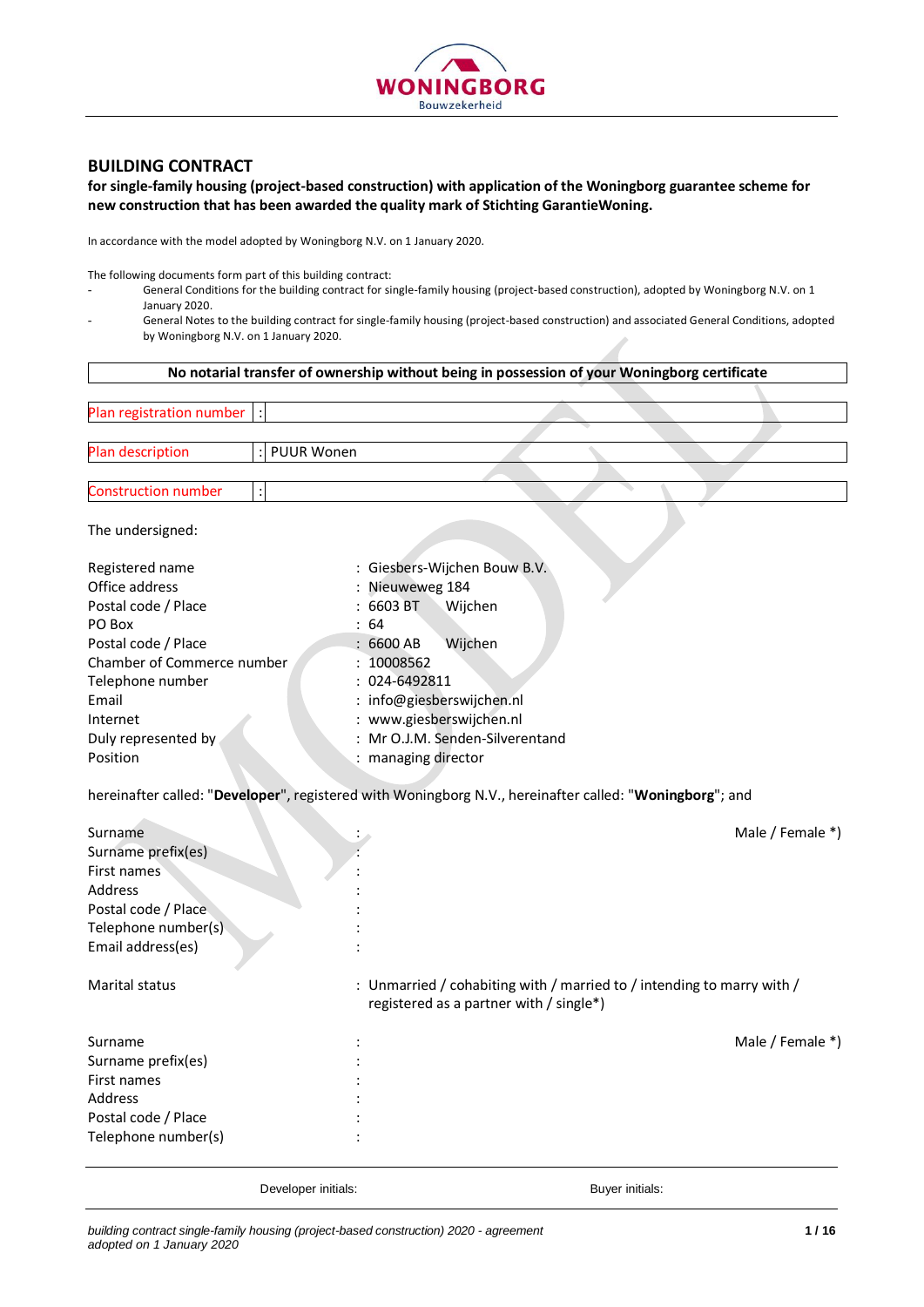

# **BUILDING CONTRACT**

### **for single-family housing (project-based construction) with application of the Woningborg guarantee scheme for new construction that has been awarded the quality mark of Stichting GarantieWoning.**

In accordance with the model adopted by Woningborg N.V. on 1 January 2020.

The following documents form part of this building contract:

- General Conditions for the building contract for single-family housing (project-based construction), adopted by Woningborg N.V. on 1 January 2020.
- General Notes to the building contract for single-family housing (project-based construction) and associated General Conditions, adopted by Woningborg N.V. on 1 January 2020.

| No notarial transfer of ownership without being in possession of your Woningborg certificate |                                                                                                         |  |  |  |  |
|----------------------------------------------------------------------------------------------|---------------------------------------------------------------------------------------------------------|--|--|--|--|
|                                                                                              |                                                                                                         |  |  |  |  |
| Plan registration number                                                                     |                                                                                                         |  |  |  |  |
| PUUR Wonen<br>Plan description                                                               |                                                                                                         |  |  |  |  |
|                                                                                              |                                                                                                         |  |  |  |  |
| <b>Construction number</b>                                                                   |                                                                                                         |  |  |  |  |
|                                                                                              |                                                                                                         |  |  |  |  |
| The undersigned:                                                                             |                                                                                                         |  |  |  |  |
|                                                                                              |                                                                                                         |  |  |  |  |
| Registered name<br>Office address                                                            | : Giesbers-Wijchen Bouw B.V.                                                                            |  |  |  |  |
| Postal code / Place                                                                          | Nieuweweg 184<br>6603 BT                                                                                |  |  |  |  |
| PO Box                                                                                       | Wijchen<br>: 64                                                                                         |  |  |  |  |
| Postal code / Place                                                                          | : 6600 AB<br>Wijchen                                                                                    |  |  |  |  |
| Chamber of Commerce number                                                                   | : 10008562                                                                                              |  |  |  |  |
| Telephone number                                                                             | 024-6492811                                                                                             |  |  |  |  |
| Email                                                                                        | info@giesberswijchen.nl                                                                                 |  |  |  |  |
| Internet                                                                                     | www.giesberswijchen.nl                                                                                  |  |  |  |  |
| Duly represented by                                                                          | : Mr O.J.M. Senden-Silverentand                                                                         |  |  |  |  |
| Position                                                                                     | : managing director                                                                                     |  |  |  |  |
|                                                                                              | hereinafter called: "Developer", registered with Woningborg N.V., hereinafter called: "Woningborg"; and |  |  |  |  |
|                                                                                              |                                                                                                         |  |  |  |  |
| Surname                                                                                      | Male / Female *)                                                                                        |  |  |  |  |
| Surname prefix(es)<br>First names                                                            |                                                                                                         |  |  |  |  |
| Address                                                                                      |                                                                                                         |  |  |  |  |
| Postal code / Place                                                                          |                                                                                                         |  |  |  |  |
| Telephone number(s)                                                                          |                                                                                                         |  |  |  |  |
| Email address(es)                                                                            |                                                                                                         |  |  |  |  |
|                                                                                              |                                                                                                         |  |  |  |  |
| Marital status                                                                               | : Unmarried / cohabiting with / married to / intending to marry with /                                  |  |  |  |  |
|                                                                                              | registered as a partner with / single*)                                                                 |  |  |  |  |
|                                                                                              |                                                                                                         |  |  |  |  |
| Surname                                                                                      | Male / Female *)                                                                                        |  |  |  |  |
| Surname prefix(es)                                                                           |                                                                                                         |  |  |  |  |
| First names<br>Address                                                                       |                                                                                                         |  |  |  |  |
| Postal code / Place                                                                          |                                                                                                         |  |  |  |  |
| Telephone number(s)                                                                          |                                                                                                         |  |  |  |  |
|                                                                                              |                                                                                                         |  |  |  |  |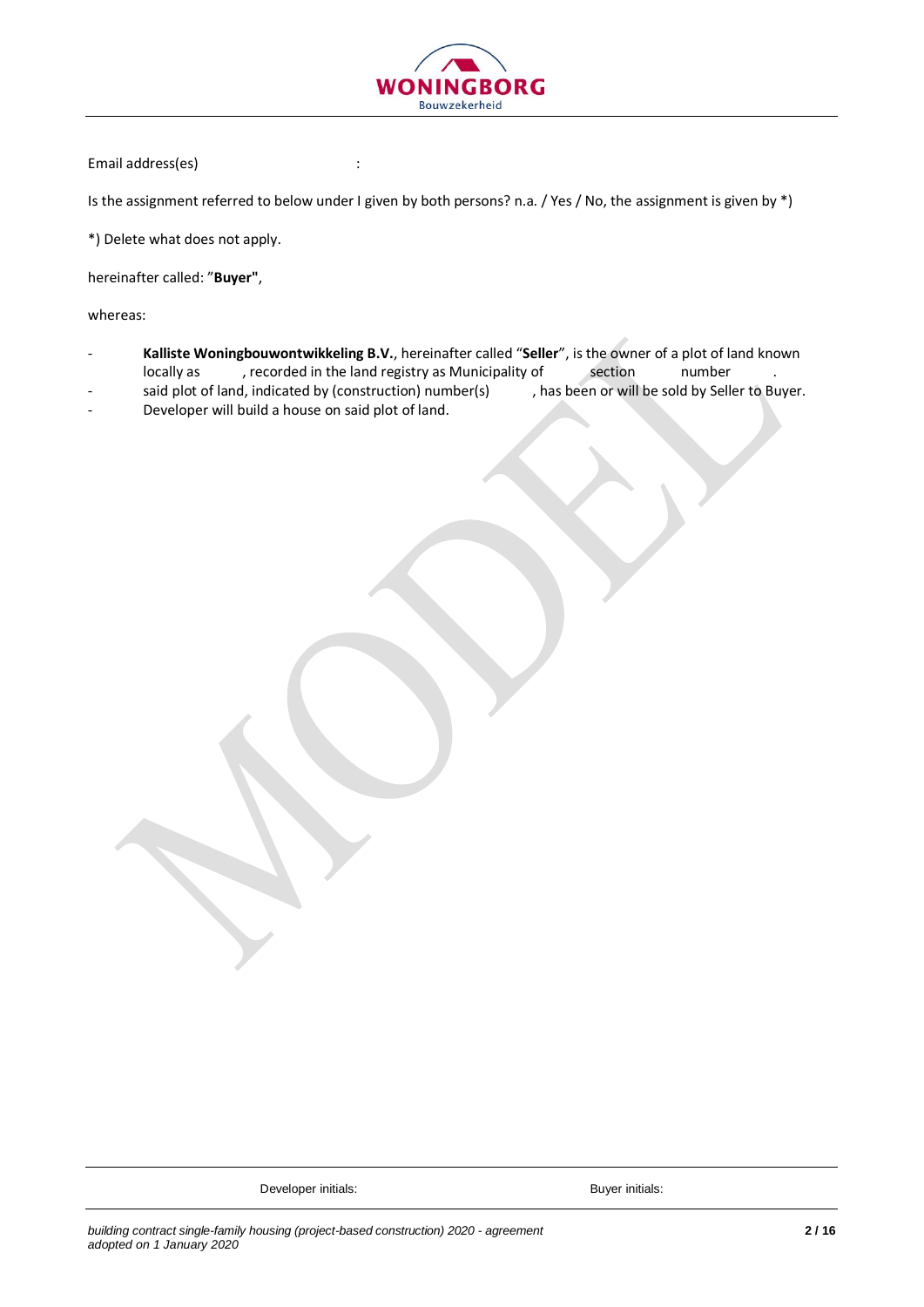

## Email address(es) :

Is the assignment referred to below under I given by both persons? n.a. / Yes / No, the assignment is given by \*)

\*) Delete what does not apply.

hereinafter called: "**Buyer"**,

whereas:

- **Kalliste Woningbouwontwikkeling B.V.**, hereinafter called "**Seller**", is the owner of a plot of land known locally as , recorded in the land registry as Municipality of section number

said plot of land, indicated by (construction) number(s) and solve has been or will be sold by Seller to Buyer.

Developer will build a house on said plot of land.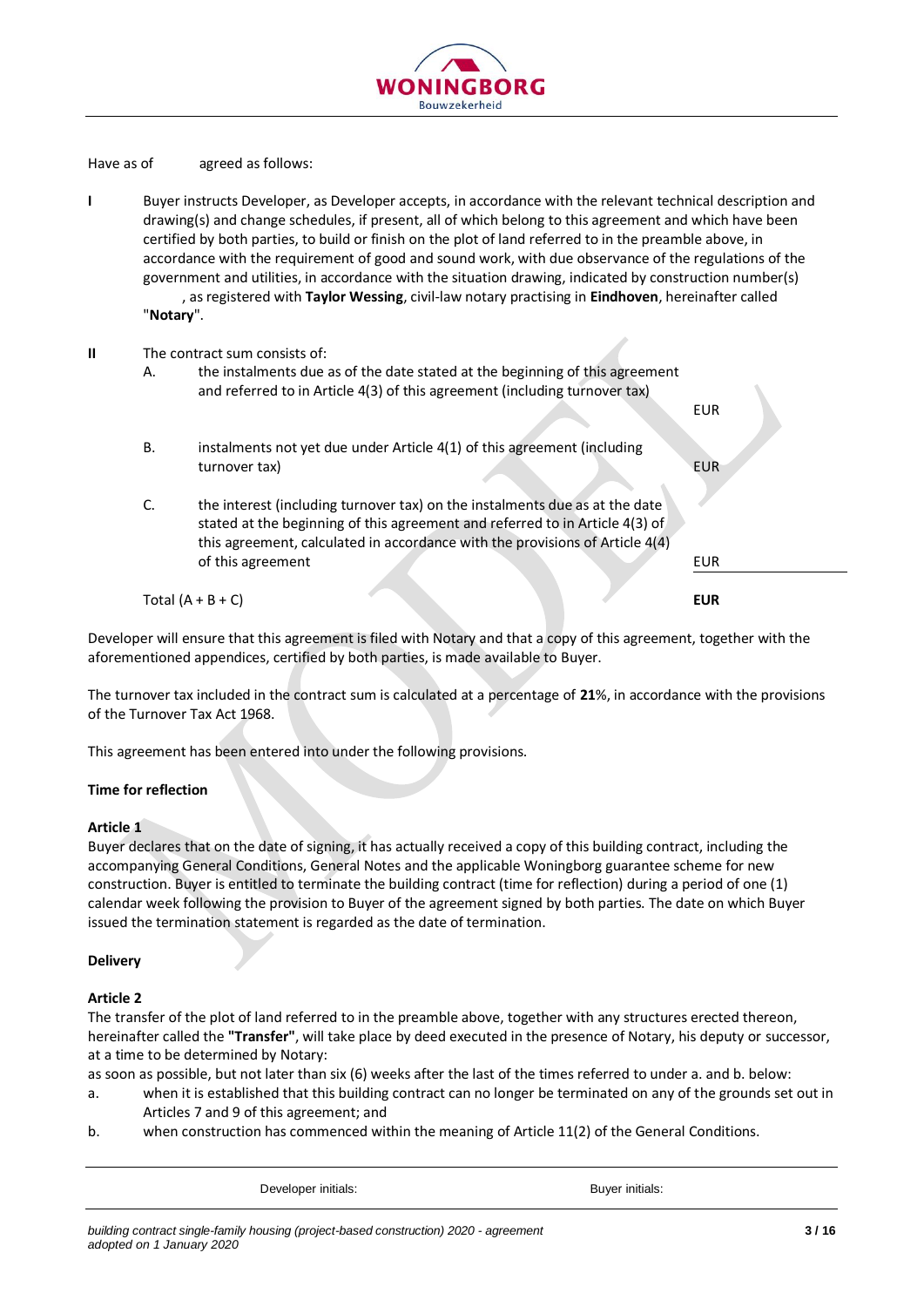

Have as of agreed as follows:

**I** Buyer instructs Developer, as Developer accepts, in accordance with the relevant technical description and drawing(s) and change schedules, if present, all of which belong to this agreement and which have been certified by both parties, to build or finish on the plot of land referred to in the preamble above, in accordance with the requirement of good and sound work, with due observance of the regulations of the government and utilities, in accordance with the situation drawing, indicated by construction number(s) , as registered with **Taylor Wessing**, civil-law notary practising in **Eindhoven**, hereinafter called "**Notary**".

### **II** The contract sum consists of:

- A. the instalments due as of the date stated at the beginning of this agreement and referred to in Article 4(3) of this agreement (including turnover tax)
- B. instalments not yet due under Article 4(1) of this agreement (including turnover tax) EUR
- C. the interest (including turnover tax) on the instalments due as at the date stated at the beginning of this agreement and referred to in Article 4(3) of this agreement, calculated in accordance with the provisions of Article 4(4) of this agreement EUR

Total (A + B + C) **EUR**

Developer will ensure that this agreement is filed with Notary and that a copy of this agreement, together with the aforementioned appendices, certified by both parties, is made available to Buyer.

The turnover tax included in the contract sum is calculated at a percentage of **21**%, in accordance with the provisions of the Turnover Tax Act 1968.

This agreement has been entered into under the following provisions.

## **Time for reflection**

#### **Article 1**

Buyer declares that on the date of signing, it has actually received a copy of this building contract, including the accompanying General Conditions, General Notes and the applicable Woningborg guarantee scheme for new construction. Buyer is entitled to terminate the building contract (time for reflection) during a period of one (1) calendar week following the provision to Buyer of the agreement signed by both parties. The date on which Buyer issued the termination statement is regarded as the date of termination.

#### **Delivery**

#### **Article 2**

The transfer of the plot of land referred to in the preamble above, together with any structures erected thereon, hereinafter called the **"Transfer"**, will take place by deed executed in the presence of Notary, his deputy or successor, at a time to be determined by Notary:

as soon as possible, but not later than six (6) weeks after the last of the times referred to under a. and b. below:

- a. when it is established that this building contract can no longer be terminated on any of the grounds set out in Articles 7 and 9 of this agreement; and
- b. when construction has commenced within the meaning of Article 11(2) of the General Conditions.

Developer initials: Buyer initials:

EUR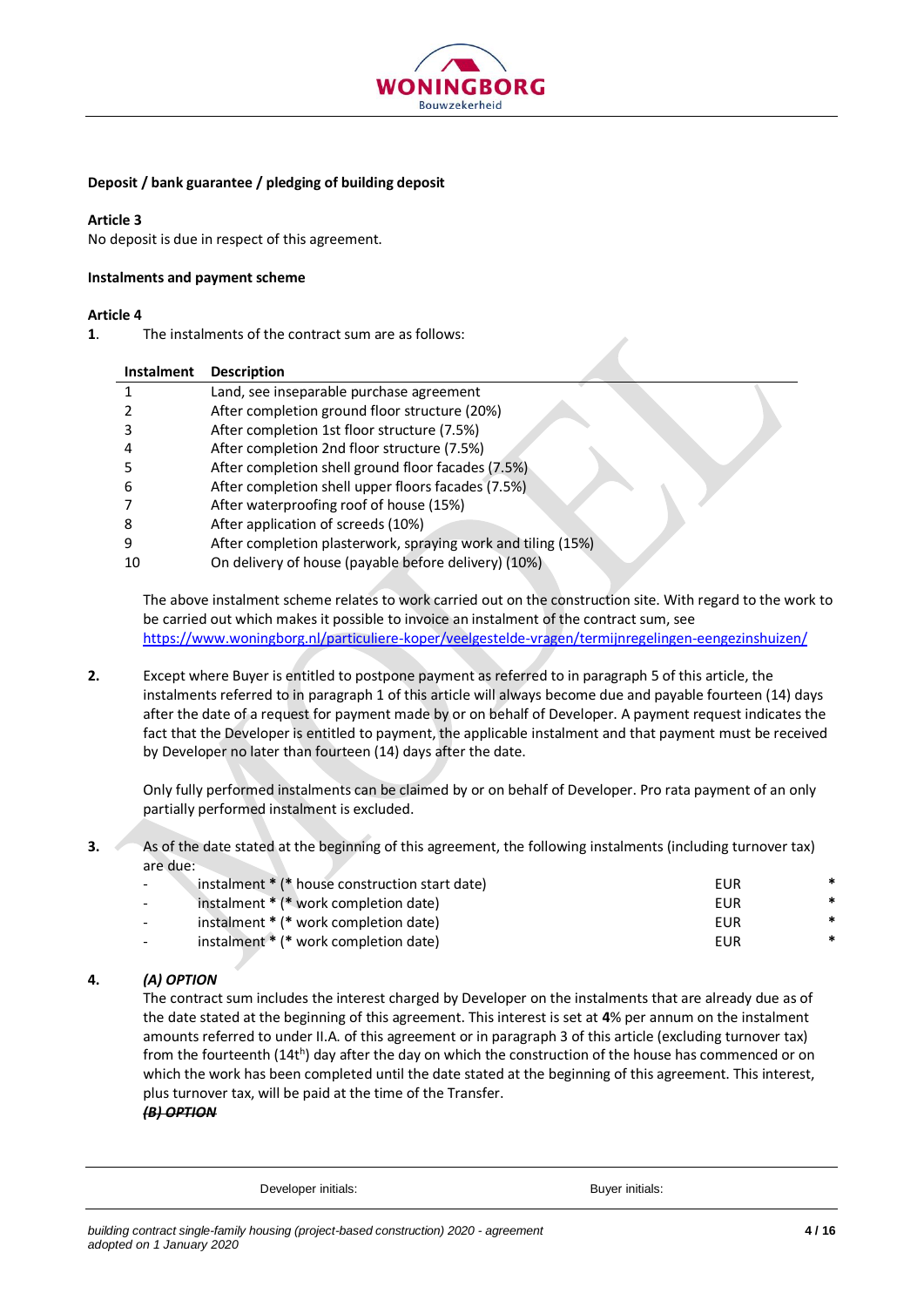

## **Deposit / bank guarantee / pledging of building deposit**

### **Article 3**

No deposit is due in respect of this agreement.

### **Instalments and payment scheme**

### **Article 4**

**1**. The instalments of the contract sum are as follows:

| <b>Instalment</b> | <b>Description</b>                                           |
|-------------------|--------------------------------------------------------------|
|                   | Land, see inseparable purchase agreement                     |
|                   | After completion ground floor structure (20%)                |
|                   | After completion 1st floor structure (7.5%)                  |
|                   | After completion 2nd floor structure (7.5%)                  |
|                   | After completion shell ground floor facades (7.5%)           |
|                   | After completion shell upper floors facades (7.5%)           |
|                   | After waterproofing roof of house (15%)                      |
|                   | After application of screeds (10%)                           |
|                   | After completion plasterwork, spraying work and tiling (15%) |
| 10                | On delivery of house (payable before delivery) (10%)         |

The above instalment scheme relates to work carried out on the construction site. With regard to the work to be carried out which makes it possible to invoice an instalment of the contract sum, see <https://www.woningborg.nl/particuliere-koper/veelgestelde-vragen/termijnregelingen-eengezinshuizen/>

**2.** Except where Buyer is entitled to postpone payment as referred to in paragraph 5 of this article, the instalments referred to in paragraph 1 of this article will always become due and payable fourteen (14) days after the date of a request for payment made by or on behalf of Developer. A payment request indicates the fact that the Developer is entitled to payment, the applicable instalment and that payment must be received by Developer no later than fourteen (14) days after the date.

Only fully performed instalments can be claimed by or on behalf of Developer. Pro rata payment of an only partially performed instalment is excluded.

**3.** As of the date stated at the beginning of this agreement, the following instalments (including turnover tax) are due:

| instalment * (* house construction start date) | EUR | $\ast$ |
|------------------------------------------------|-----|--------|
| instalment * (* work completion date)          | EUR | $\ast$ |
| instalment * (* work completion date)          | EUR | $\ast$ |
| instalment * (* work completion date)          | EUR | $\ast$ |

## **4.** *(A) OPTION*

The contract sum includes the interest charged by Developer on the instalments that are already due as of the date stated at the beginning of this agreement. This interest is set at **4**% per annum on the instalment amounts referred to under II.A. of this agreement or in paragraph 3 of this article (excluding turnover tax) from the fourteenth (14th) day after the day on which the construction of the house has commenced or on which the work has been completed until the date stated at the beginning of this agreement. This interest, plus turnover tax, will be paid at the time of the Transfer. *(B) OPTION*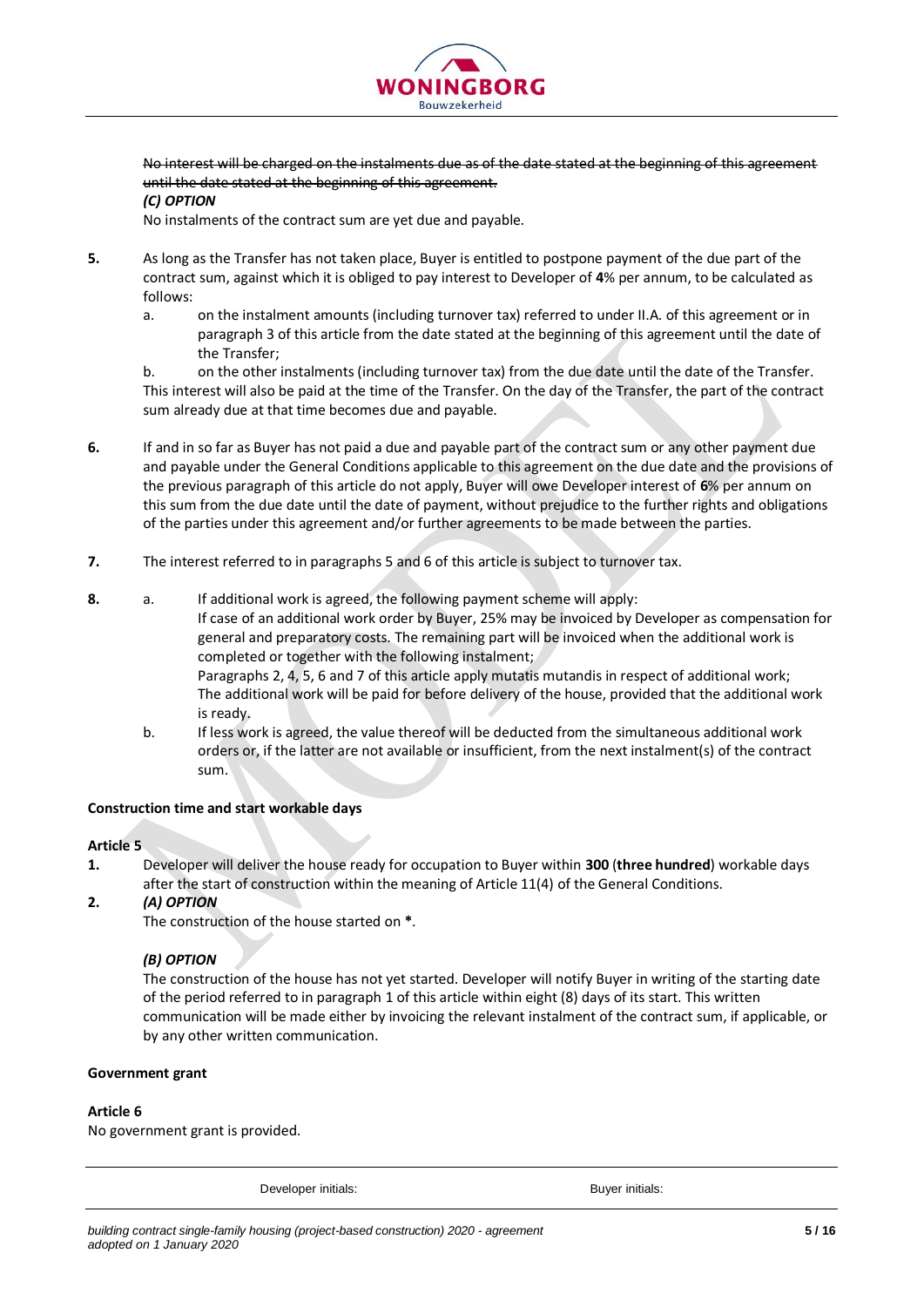

No interest will be charged on the instalments due as of the date stated at the beginning of this agreement until the date stated at the beginning of this agreement. *(C) OPTION*

### No instalments of the contract sum are yet due and payable.

- **5.** As long as the Transfer has not taken place, Buyer is entitled to postpone payment of the due part of the contract sum, against which it is obliged to pay interest to Developer of **4**% per annum, to be calculated as follows:
	- a. on the instalment amounts (including turnover tax) referred to under II.A. of this agreement or in paragraph 3 of this article from the date stated at the beginning of this agreement until the date of the Transfer;

b. on the other instalments (including turnover tax) from the due date until the date of the Transfer. This interest will also be paid at the time of the Transfer. On the day of the Transfer, the part of the contract sum already due at that time becomes due and payable.

- **6.** If and in so far as Buyer has not paid a due and payable part of the contract sum or any other payment due and payable under the General Conditions applicable to this agreement on the due date and the provisions of the previous paragraph of this article do not apply, Buyer will owe Developer interest of **6**% per annum on this sum from the due date until the date of payment, without prejudice to the further rights and obligations of the parties under this agreement and/or further agreements to be made between the parties.
- **7.** The interest referred to in paragraphs 5 and 6 of this article is subject to turnover tax.
- **8.** a. If additional work is agreed, the following payment scheme will apply:

If case of an additional work order by Buyer, 25% may be invoiced by Developer as compensation for general and preparatory costs. The remaining part will be invoiced when the additional work is completed or together with the following instalment;

Paragraphs 2, 4, 5, 6 and 7 of this article apply mutatis mutandis in respect of additional work; The additional work will be paid for before delivery of the house, provided that the additional work is ready.

b. If less work is agreed, the value thereof will be deducted from the simultaneous additional work orders or, if the latter are not available or insufficient, from the next instalment(s) of the contract sum.

## **Construction time and start workable days**

## **Article 5**

**1.** Developer will deliver the house ready for occupation to Buyer within **300** (**three hundred**) workable days after the start of construction within the meaning of Article 11(4) of the General Conditions.

# **2.** *(A) OPTION*

The construction of the house started on **\***.

# *(B) OPTION*

The construction of the house has not yet started. Developer will notify Buyer in writing of the starting date of the period referred to in paragraph 1 of this article within eight (8) days of its start. This written communication will be made either by invoicing the relevant instalment of the contract sum, if applicable, or by any other written communication.

## **Government grant**

## **Article 6**

No government grant is provided.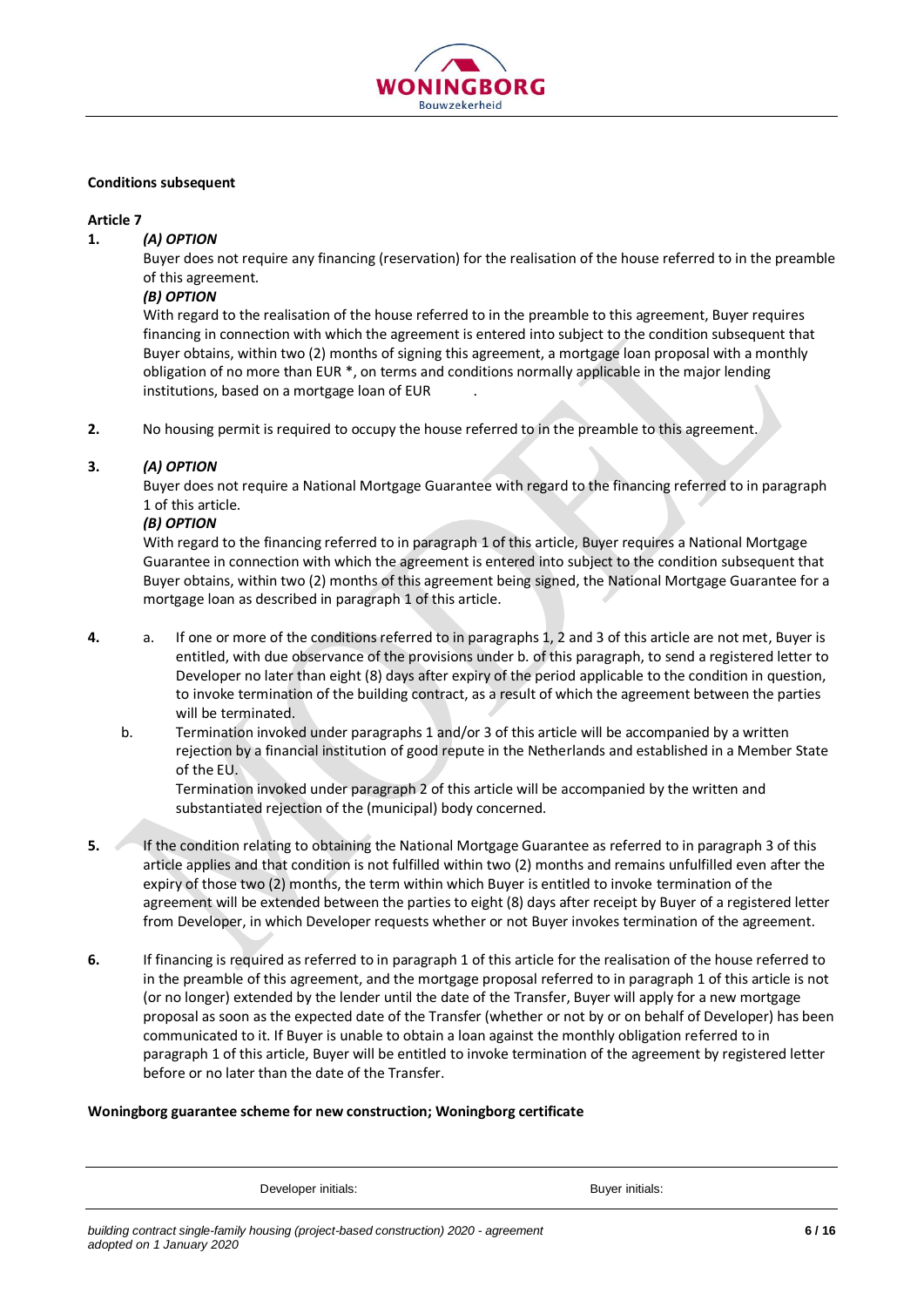

### **Conditions subsequent**

# **Article 7**

# **1.** *(A) OPTION*

Buyer does not require any financing (reservation) for the realisation of the house referred to in the preamble of this agreement.

# *(B) OPTION*

With regard to the realisation of the house referred to in the preamble to this agreement, Buyer requires financing in connection with which the agreement is entered into subject to the condition subsequent that Buyer obtains, within two (2) months of signing this agreement, a mortgage loan proposal with a monthly obligation of no more than EUR \*, on terms and conditions normally applicable in the major lending institutions, based on a mortgage loan of EUR

**2.** No housing permit is required to occupy the house referred to in the preamble to this agreement.

# **3.** *(A) OPTION*

Buyer does not require a National Mortgage Guarantee with regard to the financing referred to in paragraph 1 of this article.

# *(B) OPTION*

With regard to the financing referred to in paragraph 1 of this article, Buyer requires a National Mortgage Guarantee in connection with which the agreement is entered into subject to the condition subsequent that Buyer obtains, within two (2) months of this agreement being signed, the National Mortgage Guarantee for a mortgage loan as described in paragraph 1 of this article.

- **4.** a. If one or more of the conditions referred to in paragraphs 1, 2 and 3 of this article are not met, Buyer is entitled, with due observance of the provisions under b. of this paragraph, to send a registered letter to Developer no later than eight (8) days after expiry of the period applicable to the condition in question, to invoke termination of the building contract, as a result of which the agreement between the parties will be terminated.
	- b. Termination invoked under paragraphs 1 and/or 3 of this article will be accompanied by a written rejection by a financial institution of good repute in the Netherlands and established in a Member State of the EU.

Termination invoked under paragraph 2 of this article will be accompanied by the written and substantiated rejection of the (municipal) body concerned.

- **5.** If the condition relating to obtaining the National Mortgage Guarantee as referred to in paragraph 3 of this article applies and that condition is not fulfilled within two (2) months and remains unfulfilled even after the expiry of those two (2) months, the term within which Buyer is entitled to invoke termination of the agreement will be extended between the parties to eight (8) days after receipt by Buyer of a registered letter from Developer, in which Developer requests whether or not Buyer invokes termination of the agreement.
- **6.** If financing is required as referred to in paragraph 1 of this article for the realisation of the house referred to in the preamble of this agreement, and the mortgage proposal referred to in paragraph 1 of this article is not (or no longer) extended by the lender until the date of the Transfer, Buyer will apply for a new mortgage proposal as soon as the expected date of the Transfer (whether or not by or on behalf of Developer) has been communicated to it. If Buyer is unable to obtain a loan against the monthly obligation referred to in paragraph 1 of this article, Buyer will be entitled to invoke termination of the agreement by registered letter before or no later than the date of the Transfer.

## **Woningborg guarantee scheme for new construction; Woningborg certificate**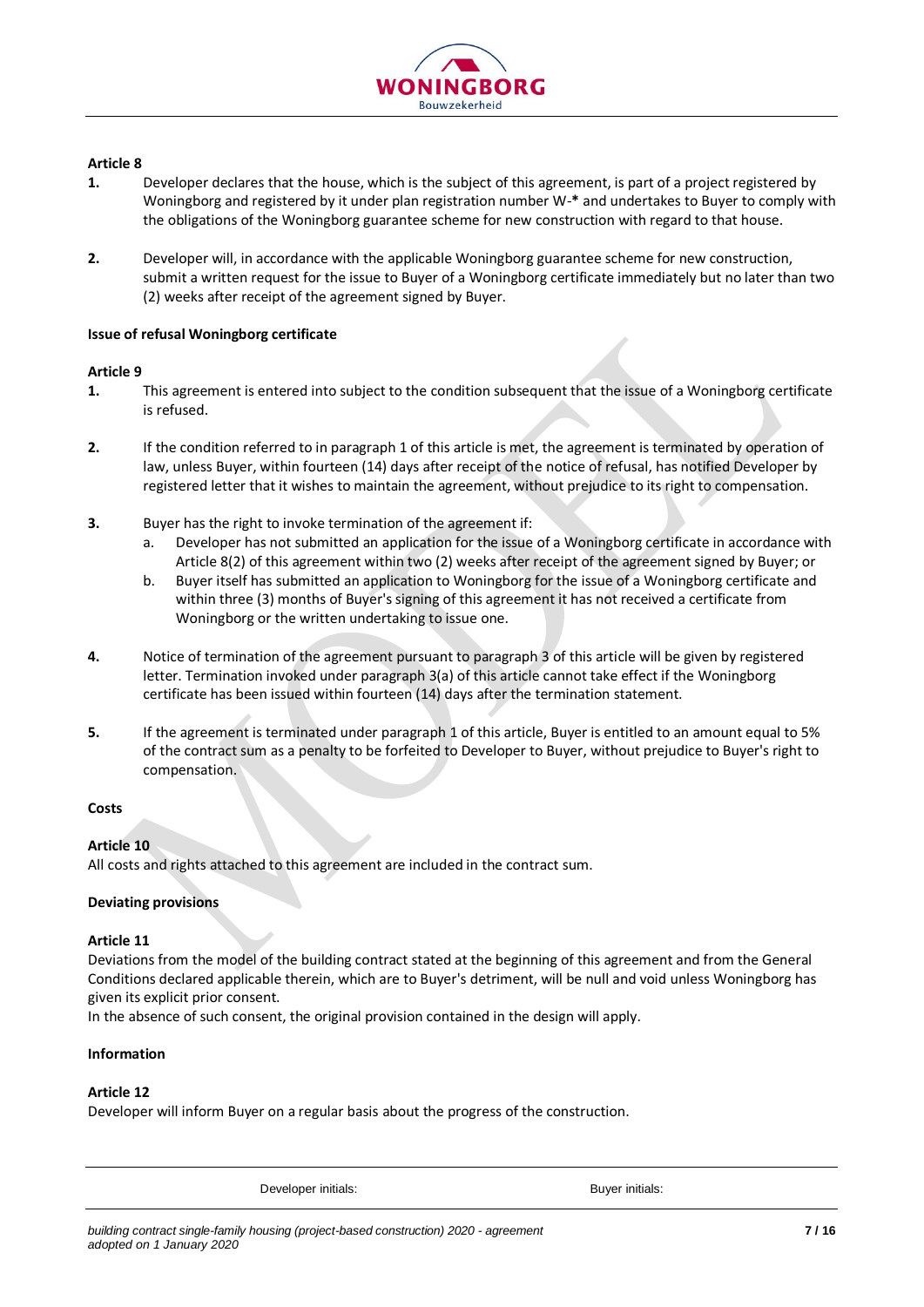

# **Article 8**

- **1.** Developer declares that the house, which is the subject of this agreement, is part of a project registered by Woningborg and registered by it under plan registration number W-**\*** and undertakes to Buyer to comply with the obligations of the Woningborg guarantee scheme for new construction with regard to that house.
- **2.** Developer will, in accordance with the applicable Woningborg guarantee scheme for new construction, submit a written request for the issue to Buyer of a Woningborg certificate immediately but no later than two (2) weeks after receipt of the agreement signed by Buyer.

## **Issue of refusal Woningborg certificate**

## **Article 9**

- **1.** This agreement is entered into subject to the condition subsequent that the issue of a Woningborg certificate is refused.
- **2.** If the condition referred to in paragraph 1 of this article is met, the agreement is terminated by operation of law, unless Buyer, within fourteen (14) days after receipt of the notice of refusal, has notified Developer by registered letter that it wishes to maintain the agreement, without prejudice to its right to compensation.
- **3.** Buyer has the right to invoke termination of the agreement if:
	- a. Developer has not submitted an application for the issue of a Woningborg certificate in accordance with Article 8(2) of this agreement within two (2) weeks after receipt of the agreement signed by Buyer; or
	- b. Buyer itself has submitted an application to Woningborg for the issue of a Woningborg certificate and within three (3) months of Buyer's signing of this agreement it has not received a certificate from Woningborg or the written undertaking to issue one.
- **4.** Notice of termination of the agreement pursuant to paragraph 3 of this article will be given by registered letter. Termination invoked under paragraph 3(a) of this article cannot take effect if the Woningborg certificate has been issued within fourteen (14) days after the termination statement.
- **5.** If the agreement is terminated under paragraph 1 of this article, Buyer is entitled to an amount equal to 5% of the contract sum as a penalty to be forfeited to Developer to Buyer, without prejudice to Buyer's right to compensation.

# **Costs**

## **Article 10**

All costs and rights attached to this agreement are included in the contract sum.

## **Deviating provisions**

#### **Article 11**

Deviations from the model of the building contract stated at the beginning of this agreement and from the General Conditions declared applicable therein, which are to Buyer's detriment, will be null and void unless Woningborg has given its explicit prior consent.

In the absence of such consent, the original provision contained in the design will apply.

### **Information**

## **Article 12**

Developer will inform Buyer on a regular basis about the progress of the construction.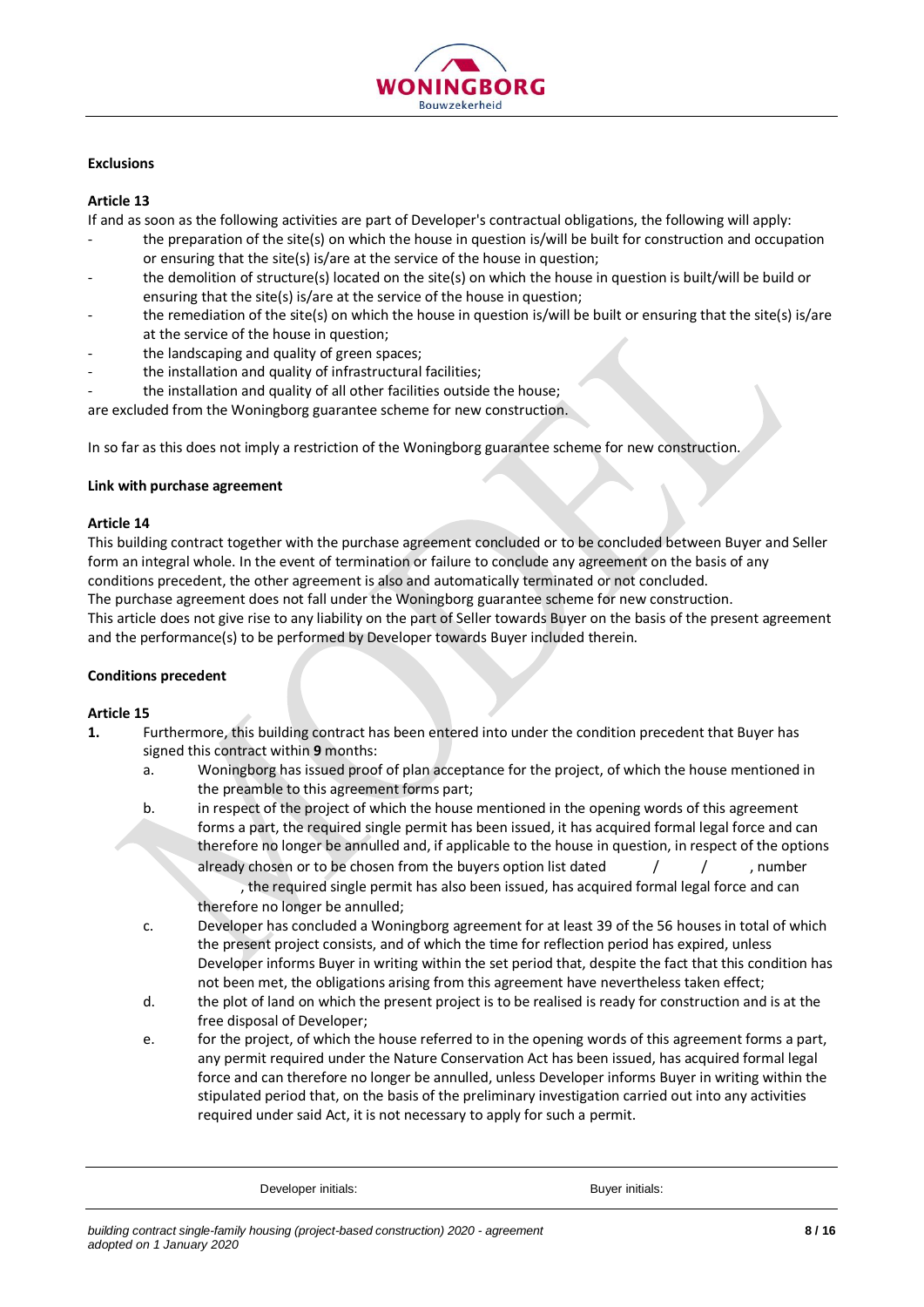

# **Exclusions**

## **Article 13**

If and as soon as the following activities are part of Developer's contractual obligations, the following will apply:

- the preparation of the site(s) on which the house in question is/will be built for construction and occupation or ensuring that the site(s) is/are at the service of the house in question;
- the demolition of structure(s) located on the site(s) on which the house in question is built/will be build or ensuring that the site(s) is/are at the service of the house in question;
- the remediation of the site(s) on which the house in question is/will be built or ensuring that the site(s) is/are at the service of the house in question;
- the landscaping and quality of green spaces:
- the installation and quality of infrastructural facilities;
- the installation and quality of all other facilities outside the house;

are excluded from the Woningborg guarantee scheme for new construction.

In so far as this does not imply a restriction of the Woningborg guarantee scheme for new construction.

#### **Link with purchase agreement**

### **Article 14**

This building contract together with the purchase agreement concluded or to be concluded between Buyer and Seller form an integral whole. In the event of termination or failure to conclude any agreement on the basis of any conditions precedent, the other agreement is also and automatically terminated or not concluded.

The purchase agreement does not fall under the Woningborg guarantee scheme for new construction.

This article does not give rise to any liability on the part of Seller towards Buyer on the basis of the present agreement and the performance(s) to be performed by Developer towards Buyer included therein.

## **Conditions precedent**

## **Article 15**

- **1.** Furthermore, this building contract has been entered into under the condition precedent that Buyer has signed this contract within **9** months:
	- a. Woningborg has issued proof of plan acceptance for the project, of which the house mentioned in the preamble to this agreement forms part;
	- b. in respect of the project of which the house mentioned in the opening words of this agreement forms a part, the required single permit has been issued, it has acquired formal legal force and can therefore no longer be annulled and, if applicable to the house in question, in respect of the options already chosen or to be chosen from the buyers option list dated  $\frac{1}{2}$  , number

, the required single permit has also been issued, has acquired formal legal force and can therefore no longer be annulled;

- c. Developer has concluded a Woningborg agreement for at least 39 of the 56 houses in total of which the present project consists, and of which the time for reflection period has expired, unless Developer informs Buyer in writing within the set period that, despite the fact that this condition has not been met, the obligations arising from this agreement have nevertheless taken effect;
- d. the plot of land on which the present project is to be realised is ready for construction and is at the free disposal of Developer;
- e. for the project, of which the house referred to in the opening words of this agreement forms a part, any permit required under the Nature Conservation Act has been issued, has acquired formal legal force and can therefore no longer be annulled, unless Developer informs Buyer in writing within the stipulated period that, on the basis of the preliminary investigation carried out into any activities required under said Act, it is not necessary to apply for such a permit.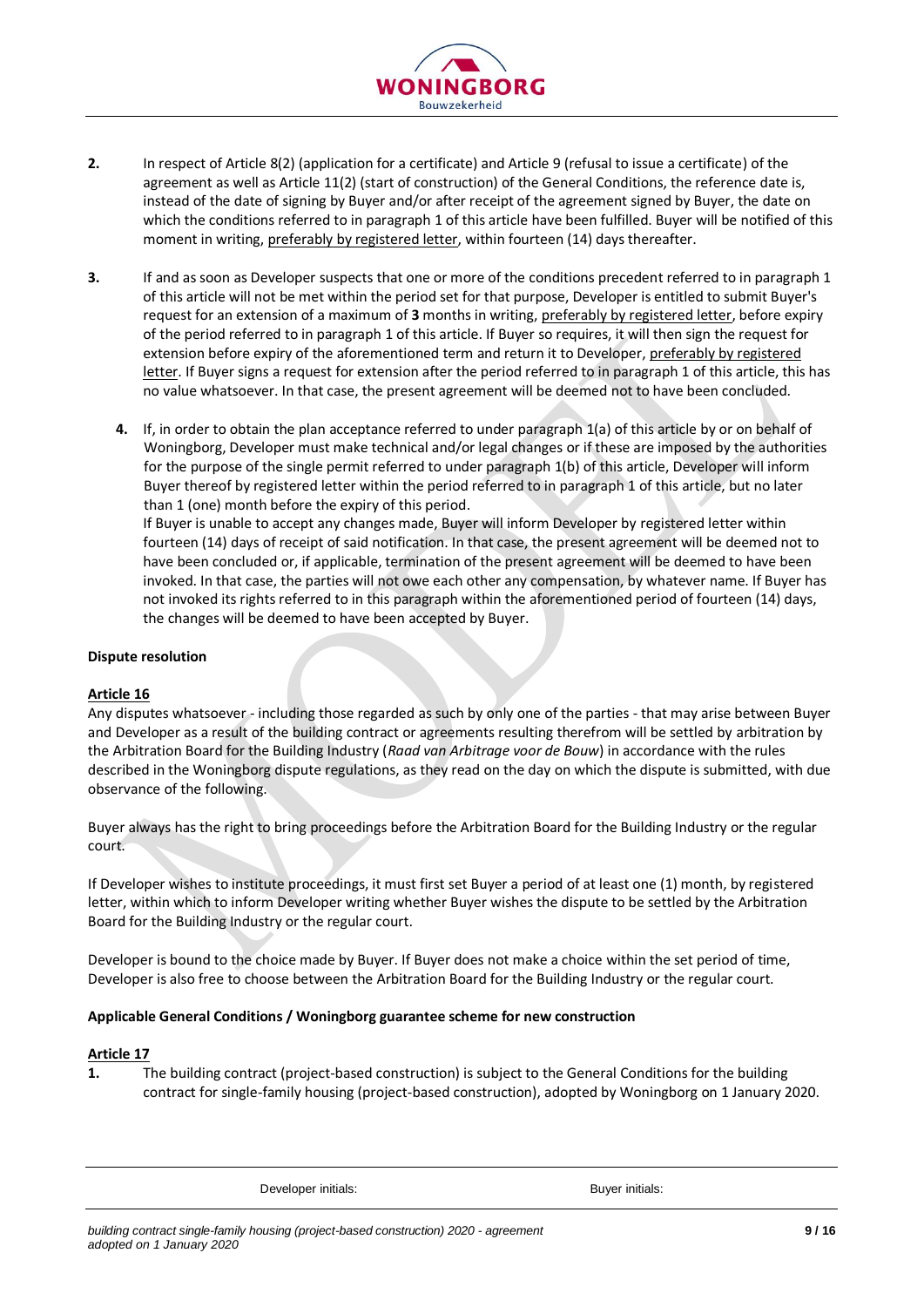

- **2.** In respect of Article 8(2) (application for a certificate) and Article 9 (refusal to issue a certificate) of the agreement as well as Article 11(2) (start of construction) of the General Conditions, the reference date is, instead of the date of signing by Buyer and/or after receipt of the agreement signed by Buyer, the date on which the conditions referred to in paragraph 1 of this article have been fulfilled. Buyer will be notified of this moment in writing, preferably by registered letter, within fourteen (14) days thereafter.
- **3.** If and as soon as Developer suspects that one or more of the conditions precedent referred to in paragraph 1 of this article will not be met within the period set for that purpose, Developer is entitled to submit Buyer's request for an extension of a maximum of **3** months in writing, preferably by registered letter, before expiry of the period referred to in paragraph 1 of this article. If Buyer so requires, it will then sign the request for extension before expiry of the aforementioned term and return it to Developer, preferably by registered letter. If Buyer signs a request for extension after the period referred to in paragraph 1 of this article, this has no value whatsoever. In that case, the present agreement will be deemed not to have been concluded.
	- **4.** If, in order to obtain the plan acceptance referred to under paragraph 1(a) of this article by or on behalf of Woningborg, Developer must make technical and/or legal changes or if these are imposed by the authorities for the purpose of the single permit referred to under paragraph 1(b) of this article, Developer will inform Buyer thereof by registered letter within the period referred to in paragraph 1 of this article, but no later than 1 (one) month before the expiry of this period.

If Buyer is unable to accept any changes made, Buyer will inform Developer by registered letter within fourteen (14) days of receipt of said notification. In that case, the present agreement will be deemed not to have been concluded or, if applicable, termination of the present agreement will be deemed to have been invoked. In that case, the parties will not owe each other any compensation, by whatever name. If Buyer has not invoked its rights referred to in this paragraph within the aforementioned period of fourteen (14) days, the changes will be deemed to have been accepted by Buyer.

## **Dispute resolution**

## **Article 16**

Any disputes whatsoever - including those regarded as such by only one of the parties - that may arise between Buyer and Developer as a result of the building contract or agreements resulting therefrom will be settled by arbitration by the Arbitration Board for the Building Industry (*Raad van Arbitrage voor de Bouw*) in accordance with the rules described in the Woningborg dispute regulations, as they read on the day on which the dispute is submitted, with due observance of the following.

Buyer always has the right to bring proceedings before the Arbitration Board for the Building Industry or the regular court.

If Developer wishes to institute proceedings, it must first set Buyer a period of at least one (1) month, by registered letter, within which to inform Developer writing whether Buyer wishes the dispute to be settled by the Arbitration Board for the Building Industry or the regular court.

Developer is bound to the choice made by Buyer. If Buyer does not make a choice within the set period of time, Developer is also free to choose between the Arbitration Board for the Building Industry or the regular court.

## **Applicable General Conditions / Woningborg guarantee scheme for new construction**

## **Article 17**

**1.** The building contract (project-based construction) is subject to the General Conditions for the building contract for single-family housing (project-based construction), adopted by Woningborg on 1 January 2020.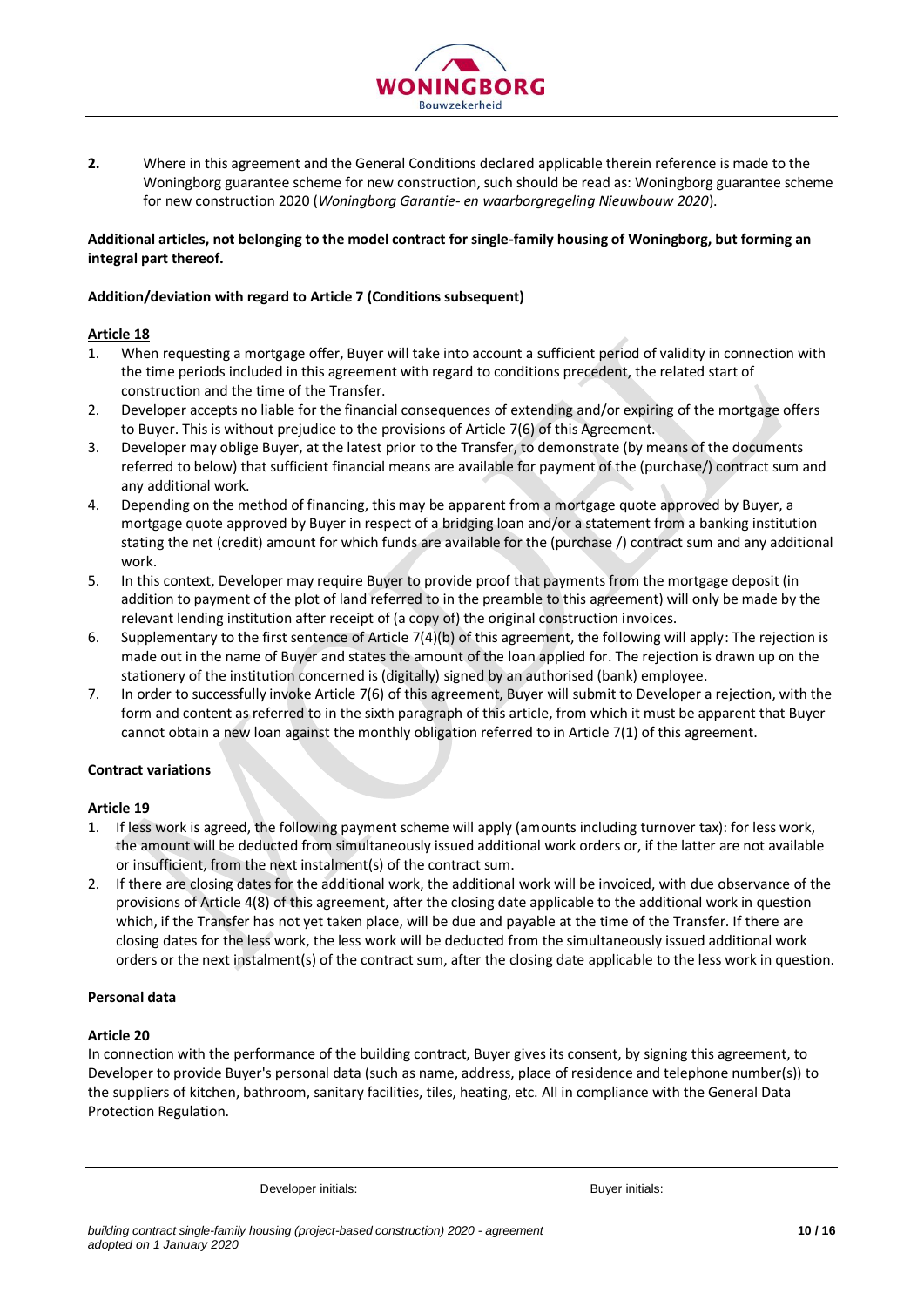

**2.** Where in this agreement and the General Conditions declared applicable therein reference is made to the Woningborg guarantee scheme for new construction, such should be read as: Woningborg guarantee scheme for new construction 2020 (*Woningborg Garantie- en waarborgregeling Nieuwbouw 2020*).

# **Additional articles, not belonging to the model contract for single-family housing of Woningborg, but forming an integral part thereof.**

## **Addition/deviation with regard to Article 7 (Conditions subsequent)**

# **Article 18**

- 1. When requesting a mortgage offer, Buyer will take into account a sufficient period of validity in connection with the time periods included in this agreement with regard to conditions precedent, the related start of construction and the time of the Transfer.
- 2. Developer accepts no liable for the financial consequences of extending and/or expiring of the mortgage offers to Buyer. This is without prejudice to the provisions of Article 7(6) of this Agreement.
- 3. Developer may oblige Buyer, at the latest prior to the Transfer, to demonstrate (by means of the documents referred to below) that sufficient financial means are available for payment of the (purchase/) contract sum and any additional work.
- 4. Depending on the method of financing, this may be apparent from a mortgage quote approved by Buyer, a mortgage quote approved by Buyer in respect of a bridging loan and/or a statement from a banking institution stating the net (credit) amount for which funds are available for the (purchase /) contract sum and any additional work.
- 5. In this context, Developer may require Buyer to provide proof that payments from the mortgage deposit (in addition to payment of the plot of land referred to in the preamble to this agreement) will only be made by the relevant lending institution after receipt of (a copy of) the original construction invoices.
- 6. Supplementary to the first sentence of Article 7(4)(b) of this agreement, the following will apply: The rejection is made out in the name of Buyer and states the amount of the loan applied for. The rejection is drawn up on the stationery of the institution concerned is (digitally) signed by an authorised (bank) employee.
- 7. In order to successfully invoke Article 7(6) of this agreement, Buyer will submit to Developer a rejection, with the form and content as referred to in the sixth paragraph of this article, from which it must be apparent that Buyer cannot obtain a new loan against the monthly obligation referred to in Article 7(1) of this agreement.

## **Contract variations**

## **Article 19**

- 1. If less work is agreed, the following payment scheme will apply (amounts including turnover tax): for less work, the amount will be deducted from simultaneously issued additional work orders or, if the latter are not available or insufficient, from the next instalment(s) of the contract sum.
- 2. If there are closing dates for the additional work, the additional work will be invoiced, with due observance of the provisions of Article 4(8) of this agreement, after the closing date applicable to the additional work in question which, if the Transfer has not yet taken place, will be due and payable at the time of the Transfer. If there are closing dates for the less work, the less work will be deducted from the simultaneously issued additional work orders or the next instalment(s) of the contract sum, after the closing date applicable to the less work in question.

## **Personal data**

## **Article 20**

In connection with the performance of the building contract, Buyer gives its consent, by signing this agreement, to Developer to provide Buyer's personal data (such as name, address, place of residence and telephone number(s)) to the suppliers of kitchen, bathroom, sanitary facilities, tiles, heating, etc. All in compliance with the General Data Protection Regulation.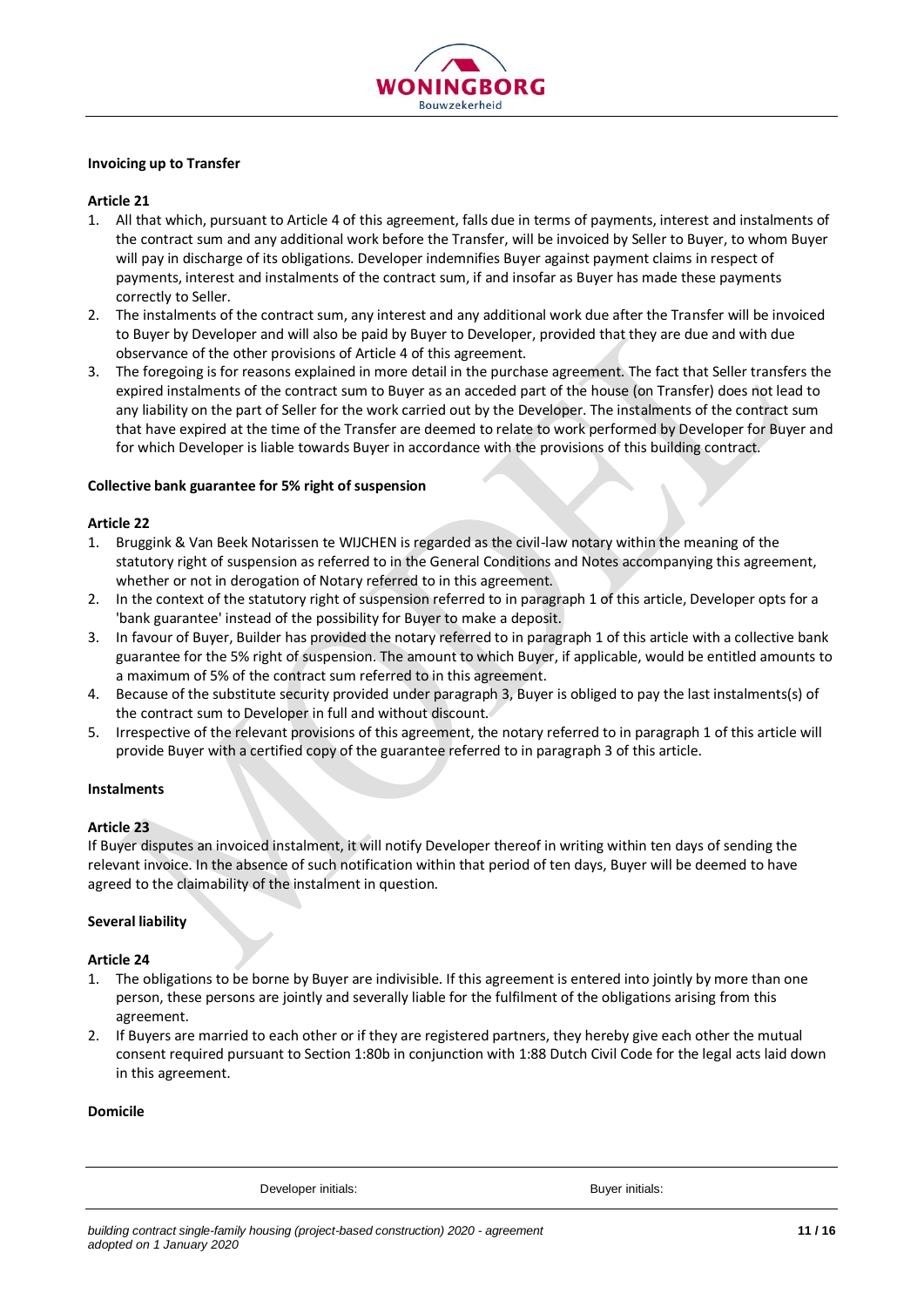

### **Invoicing up to Transfer**

## **Article 21**

- 1. All that which, pursuant to Article 4 of this agreement, falls due in terms of payments, interest and instalments of the contract sum and any additional work before the Transfer, will be invoiced by Seller to Buyer, to whom Buyer will pay in discharge of its obligations. Developer indemnifies Buyer against payment claims in respect of payments, interest and instalments of the contract sum, if and insofar as Buyer has made these payments correctly to Seller.
- 2. The instalments of the contract sum, any interest and any additional work due after the Transfer will be invoiced to Buyer by Developer and will also be paid by Buyer to Developer, provided that they are due and with due observance of the other provisions of Article 4 of this agreement.
- 3. The foregoing is for reasons explained in more detail in the purchase agreement. The fact that Seller transfers the expired instalments of the contract sum to Buyer as an acceded part of the house (on Transfer) does not lead to any liability on the part of Seller for the work carried out by the Developer. The instalments of the contract sum that have expired at the time of the Transfer are deemed to relate to work performed by Developer for Buyer and for which Developer is liable towards Buyer in accordance with the provisions of this building contract.

## **Collective bank guarantee for 5% right of suspension**

### **Article 22**

- 1. Bruggink & Van Beek Notarissen te WIJCHEN is regarded as the civil-law notary within the meaning of the statutory right of suspension as referred to in the General Conditions and Notes accompanying this agreement, whether or not in derogation of Notary referred to in this agreement.
- 2. In the context of the statutory right of suspension referred to in paragraph 1 of this article, Developer opts for a 'bank guarantee' instead of the possibility for Buyer to make a deposit.
- 3. In favour of Buyer, Builder has provided the notary referred to in paragraph 1 of this article with a collective bank guarantee for the 5% right of suspension. The amount to which Buyer, if applicable, would be entitled amounts to a maximum of 5% of the contract sum referred to in this agreement.
- 4. Because of the substitute security provided under paragraph 3, Buyer is obliged to pay the last instalments(s) of the contract sum to Developer in full and without discount.
- 5. Irrespective of the relevant provisions of this agreement, the notary referred to in paragraph 1 of this article will provide Buyer with a certified copy of the guarantee referred to in paragraph 3 of this article.

## **Instalments**

## **Article 23**

If Buyer disputes an invoiced instalment, it will notify Developer thereof in writing within ten days of sending the relevant invoice. In the absence of such notification within that period of ten days, Buyer will be deemed to have agreed to the claimability of the instalment in question.

## **Several liability**

### **Article 24**

- 1. The obligations to be borne by Buyer are indivisible. If this agreement is entered into jointly by more than one person, these persons are jointly and severally liable for the fulfilment of the obligations arising from this agreement.
- 2. If Buyers are married to each other or if they are registered partners, they hereby give each other the mutual consent required pursuant to Section 1:80b in conjunction with 1:88 Dutch Civil Code for the legal acts laid down in this agreement.

### **Domicile**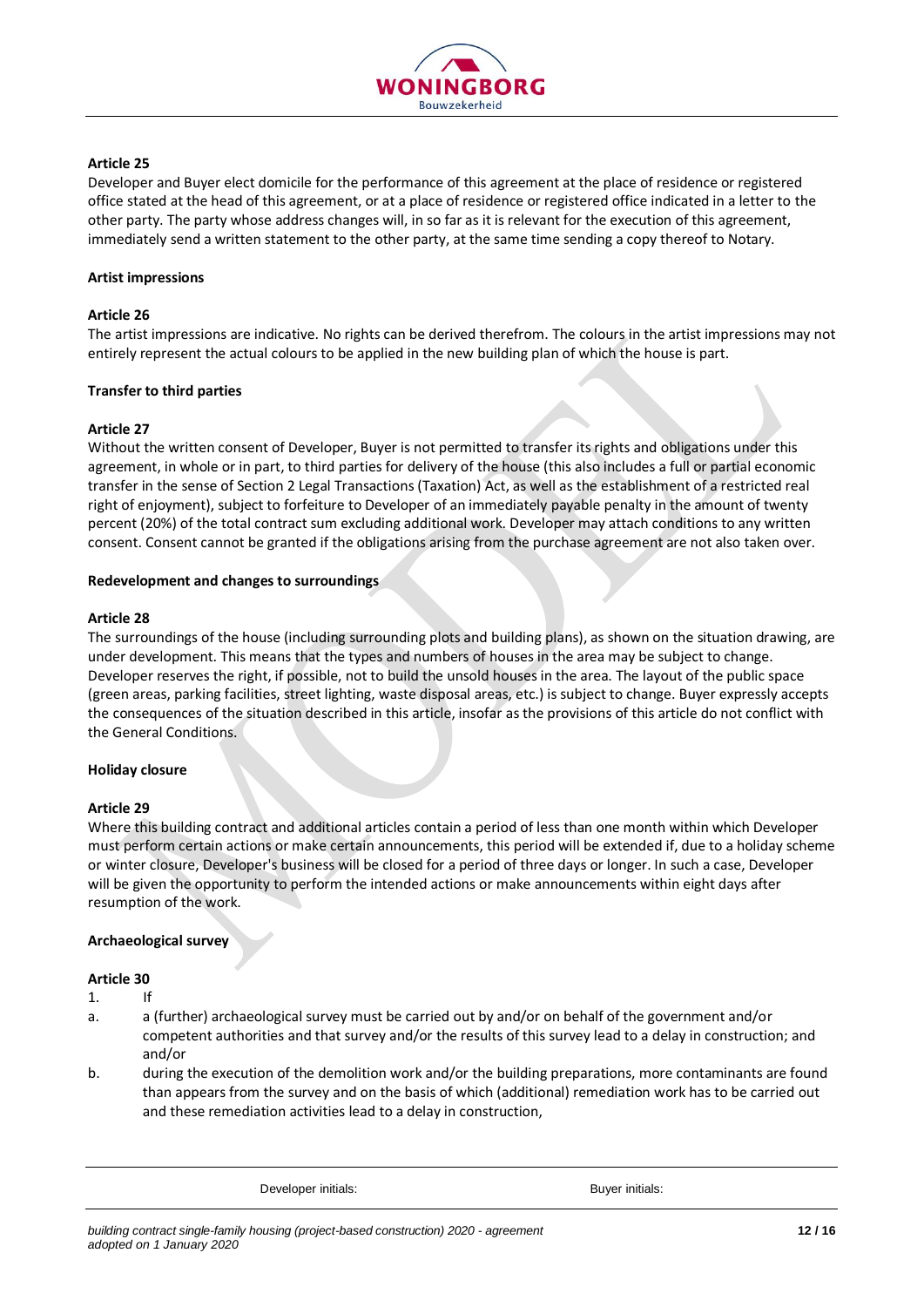

## **Article 25**

Developer and Buyer elect domicile for the performance of this agreement at the place of residence or registered office stated at the head of this agreement, or at a place of residence or registered office indicated in a letter to the other party. The party whose address changes will, in so far as it is relevant for the execution of this agreement, immediately send a written statement to the other party, at the same time sending a copy thereof to Notary.

### **Artist impressions**

### **Article 26**

The artist impressions are indicative. No rights can be derived therefrom. The colours in the artist impressions may not entirely represent the actual colours to be applied in the new building plan of which the house is part.

### **Transfer to third parties**

### **Article 27**

Without the written consent of Developer, Buyer is not permitted to transfer its rights and obligations under this agreement, in whole or in part, to third parties for delivery of the house (this also includes a full or partial economic transfer in the sense of Section 2 Legal Transactions (Taxation) Act, as well as the establishment of a restricted real right of enjoyment), subject to forfeiture to Developer of an immediately payable penalty in the amount of twenty percent (20%) of the total contract sum excluding additional work. Developer may attach conditions to any written consent. Consent cannot be granted if the obligations arising from the purchase agreement are not also taken over.

### **Redevelopment and changes to surroundings**

### **Article 28**

The surroundings of the house (including surrounding plots and building plans), as shown on the situation drawing, are under development. This means that the types and numbers of houses in the area may be subject to change. Developer reserves the right, if possible, not to build the unsold houses in the area. The layout of the public space (green areas, parking facilities, street lighting, waste disposal areas, etc.) is subject to change. Buyer expressly accepts the consequences of the situation described in this article, insofar as the provisions of this article do not conflict with the General Conditions.

## **Holiday closure**

## **Article 29**

Where this building contract and additional articles contain a period of less than one month within which Developer must perform certain actions or make certain announcements, this period will be extended if, due to a holiday scheme or winter closure, Developer's business will be closed for a period of three days or longer. In such a case, Developer will be given the opportunity to perform the intended actions or make announcements within eight days after resumption of the work.

## **Archaeological survey**

## **Article 30**

- 1. If
- a. a (further) archaeological survey must be carried out by and/or on behalf of the government and/or competent authorities and that survey and/or the results of this survey lead to a delay in construction; and and/or
- b. during the execution of the demolition work and/or the building preparations, more contaminants are found than appears from the survey and on the basis of which (additional) remediation work has to be carried out and these remediation activities lead to a delay in construction,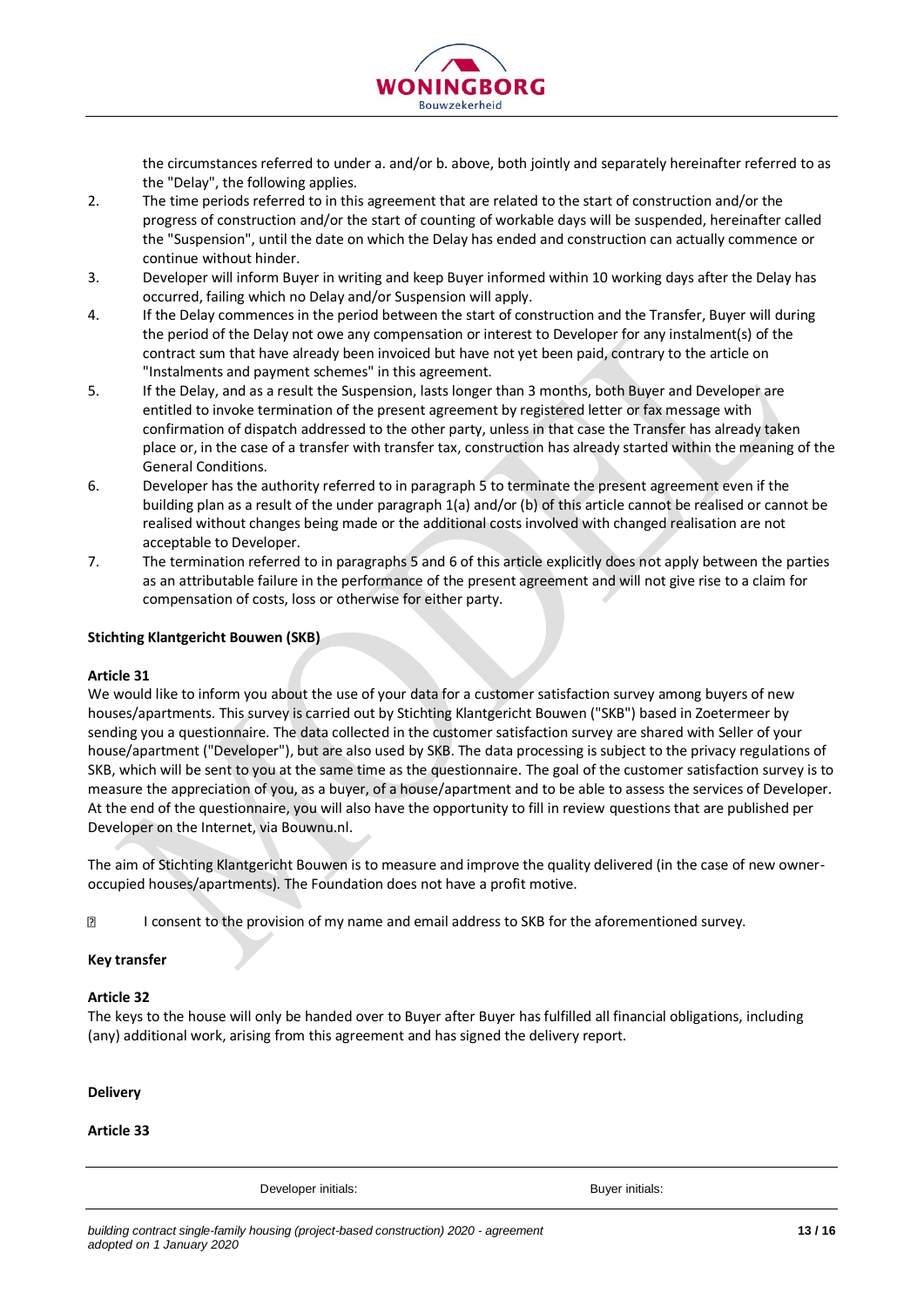

the circumstances referred to under a. and/or b. above, both jointly and separately hereinafter referred to as the "Delay", the following applies.

- 2. The time periods referred to in this agreement that are related to the start of construction and/or the progress of construction and/or the start of counting of workable days will be suspended, hereinafter called the "Suspension", until the date on which the Delay has ended and construction can actually commence or continue without hinder.
- 3. Developer will inform Buyer in writing and keep Buyer informed within 10 working days after the Delay has occurred, failing which no Delay and/or Suspension will apply.
- 4. If the Delay commences in the period between the start of construction and the Transfer, Buyer will during the period of the Delay not owe any compensation or interest to Developer for any instalment(s) of the contract sum that have already been invoiced but have not yet been paid, contrary to the article on "Instalments and payment schemes" in this agreement.
- 5. If the Delay, and as a result the Suspension, lasts longer than 3 months, both Buyer and Developer are entitled to invoke termination of the present agreement by registered letter or fax message with confirmation of dispatch addressed to the other party, unless in that case the Transfer has already taken place or, in the case of a transfer with transfer tax, construction has already started within the meaning of the General Conditions.
- 6. Developer has the authority referred to in paragraph 5 to terminate the present agreement even if the building plan as a result of the under paragraph 1(a) and/or (b) of this article cannot be realised or cannot be realised without changes being made or the additional costs involved with changed realisation are not acceptable to Developer.
- 7. The termination referred to in paragraphs 5 and 6 of this article explicitly does not apply between the parties as an attributable failure in the performance of the present agreement and will not give rise to a claim for compensation of costs, loss or otherwise for either party.

## **Stichting Klantgericht Bouwen (SKB)**

## **Article 31**

We would like to inform you about the use of your data for a customer satisfaction survey among buyers of new houses/apartments. This survey is carried out by Stichting Klantgericht Bouwen ("SKB") based in Zoetermeer by sending you a questionnaire. The data collected in the customer satisfaction survey are shared with Seller of your house/apartment ("Developer"), but are also used by SKB. The data processing is subject to the privacy regulations of SKB, which will be sent to you at the same time as the questionnaire. The goal of the customer satisfaction survey is to measure the appreciation of you, as a buyer, of a house/apartment and to be able to assess the services of Developer. At the end of the questionnaire, you will also have the opportunity to fill in review questions that are published per Developer on the Internet, via Bouwnu.nl.

The aim of Stichting Klantgericht Bouwen is to measure and improve the quality delivered (in the case of new owneroccupied houses/apartments). The Foundation does not have a profit motive.

 $\overline{R}$ I consent to the provision of my name and email address to SKB for the aforementioned survey.

## **Key transfer**

## **Article 32**

The keys to the house will only be handed over to Buyer after Buyer has fulfilled all financial obligations, including (any) additional work, arising from this agreement and has signed the delivery report.

**Delivery**

**Article 33**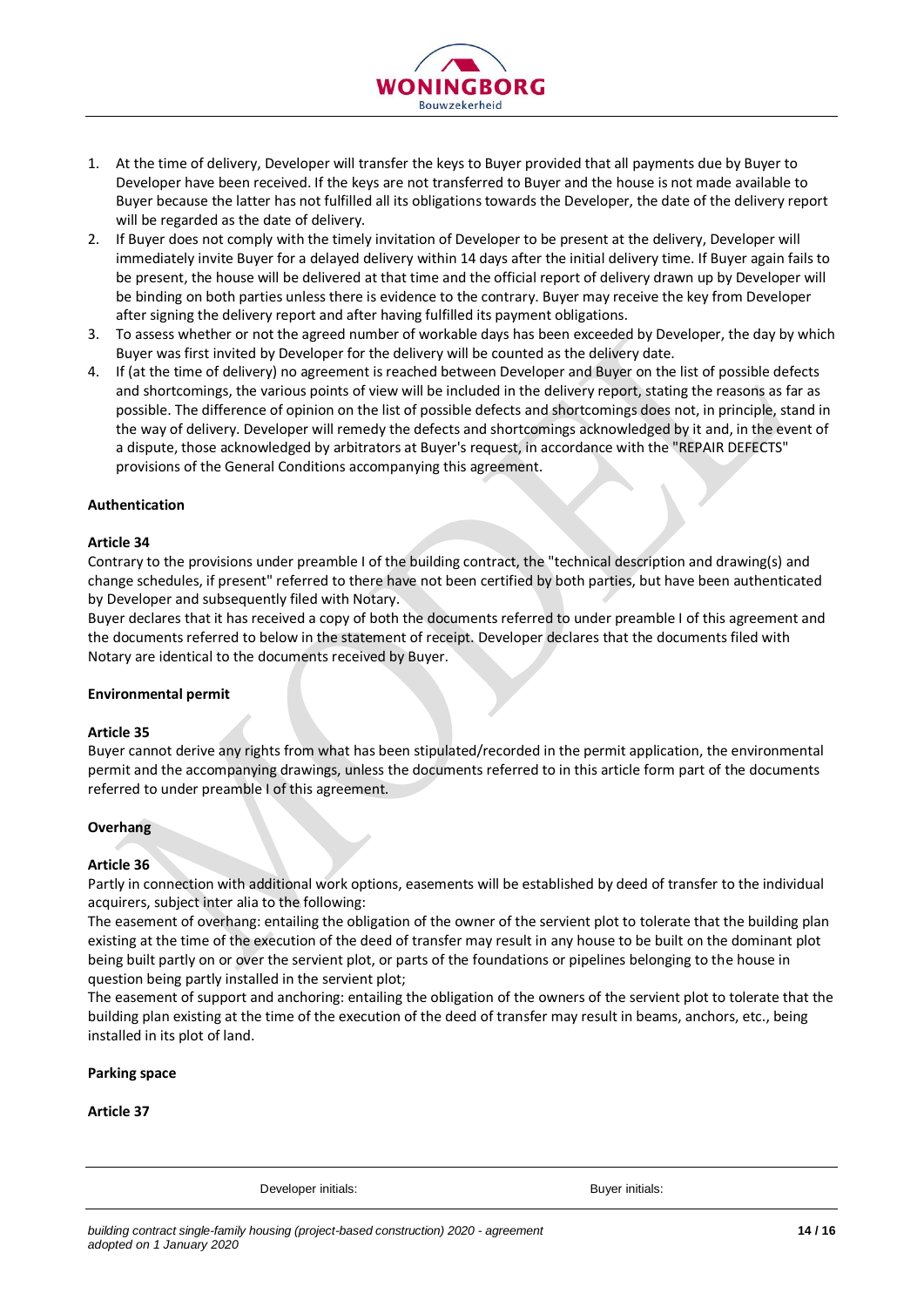

- 1. At the time of delivery, Developer will transfer the keys to Buyer provided that all payments due by Buyer to Developer have been received. If the keys are not transferred to Buyer and the house is not made available to Buyer because the latter has not fulfilled all its obligations towards the Developer, the date of the delivery report will be regarded as the date of delivery.
- 2. If Buyer does not comply with the timely invitation of Developer to be present at the delivery, Developer will immediately invite Buyer for a delayed delivery within 14 days after the initial delivery time. If Buyer again fails to be present, the house will be delivered at that time and the official report of delivery drawn up by Developer will be binding on both parties unless there is evidence to the contrary. Buyer may receive the key from Developer after signing the delivery report and after having fulfilled its payment obligations.
- 3. To assess whether or not the agreed number of workable days has been exceeded by Developer, the day by which Buyer was first invited by Developer for the delivery will be counted as the delivery date.
- 4. If (at the time of delivery) no agreement is reached between Developer and Buyer on the list of possible defects and shortcomings, the various points of view will be included in the delivery report, stating the reasons as far as possible. The difference of opinion on the list of possible defects and shortcomings does not, in principle, stand in the way of delivery. Developer will remedy the defects and shortcomings acknowledged by it and, in the event of a dispute, those acknowledged by arbitrators at Buyer's request, in accordance with the "REPAIR DEFECTS" provisions of the General Conditions accompanying this agreement.

### **Authentication**

### **Article 34**

Contrary to the provisions under preamble I of the building contract, the "technical description and drawing(s) and change schedules, if present" referred to there have not been certified by both parties, but have been authenticated by Developer and subsequently filed with Notary.

Buyer declares that it has received a copy of both the documents referred to under preamble I of this agreement and the documents referred to below in the statement of receipt. Developer declares that the documents filed with Notary are identical to the documents received by Buyer.

#### **Environmental permit**

#### **Article 35**

Buyer cannot derive any rights from what has been stipulated/recorded in the permit application, the environmental permit and the accompanying drawings, unless the documents referred to in this article form part of the documents referred to under preamble I of this agreement.

## **Overhang**

## **Article 36**

Partly in connection with additional work options, easements will be established by deed of transfer to the individual acquirers, subject inter alia to the following:

The easement of overhang: entailing the obligation of the owner of the servient plot to tolerate that the building plan existing at the time of the execution of the deed of transfer may result in any house to be built on the dominant plot being built partly on or over the servient plot, or parts of the foundations or pipelines belonging to the house in question being partly installed in the servient plot;

The easement of support and anchoring: entailing the obligation of the owners of the servient plot to tolerate that the building plan existing at the time of the execution of the deed of transfer may result in beams, anchors, etc., being installed in its plot of land.

#### **Parking space**

# **Article 37**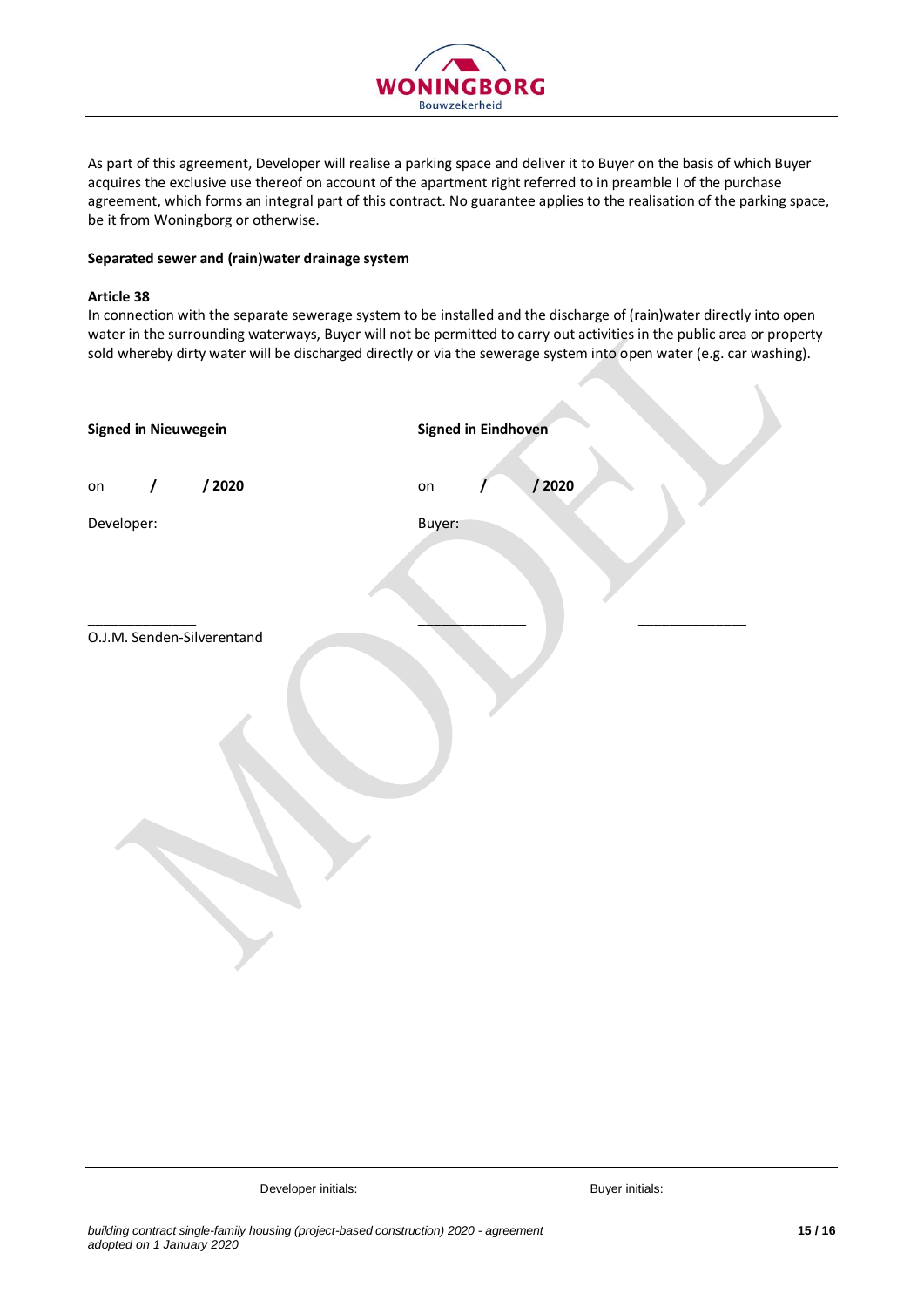

As part of this agreement, Developer will realise a parking space and deliver it to Buyer on the basis of which Buyer acquires the exclusive use thereof on account of the apartment right referred to in preamble I of the purchase agreement, which forms an integral part of this contract. No guarantee applies to the realisation of the parking space, be it from Woningborg or otherwise.

### **Separated sewer and (rain)water drainage system**

## **Article 38**

In connection with the separate sewerage system to be installed and the discharge of (rain)water directly into open water in the surrounding waterways, Buyer will not be permitted to carry out activities in the public area or property sold whereby dirty water will be discharged directly or via the sewerage system into open water (e.g. car washing).

zh.

| <b>Signed in Nieuwegein</b>           | Signed in Eindhoven |       |
|---------------------------------------|---------------------|-------|
| /2020<br>$\overline{I}$<br>${\sf on}$ | on                  | /2020 |
| Developer:                            | Buyer:              |       |
|                                       |                     |       |
| O.J.M. Senden-Silverentand            |                     |       |
|                                       |                     |       |